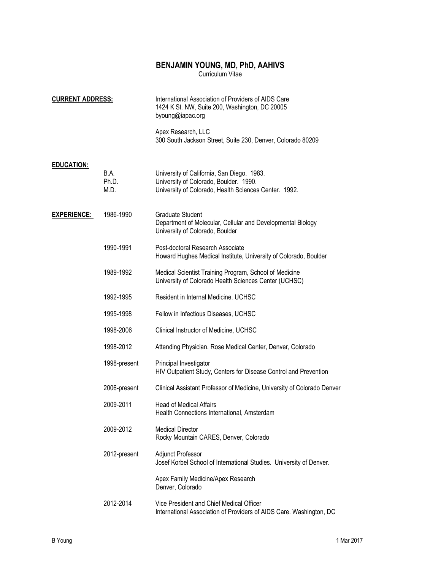# BENJAMIN YOUNG, MD, PhD, AAHIVS

Curriculum Vitae

| <b>CURRENT ADDRESS:</b> |                       | International Association of Providers of AIDS Care<br>1424 K St. NW, Suite 200, Washington, DC 20005<br>byoung@iapac.org                     |
|-------------------------|-----------------------|-----------------------------------------------------------------------------------------------------------------------------------------------|
|                         |                       | Apex Research, LLC<br>300 South Jackson Street, Suite 230, Denver, Colorado 80209                                                             |
| <b>EDUCATION:</b>       | B.A.<br>Ph.D.<br>M.D. | University of California, San Diego. 1983.<br>University of Colorado, Boulder. 1990.<br>University of Colorado, Health Sciences Center. 1992. |
| <b>EXPERIENCE:</b>      | 1986-1990             | <b>Graduate Student</b><br>Department of Molecular, Cellular and Developmental Biology<br>University of Colorado, Boulder                     |
|                         | 1990-1991             | Post-doctoral Research Associate<br>Howard Hughes Medical Institute, University of Colorado, Boulder                                          |
|                         | 1989-1992             | Medical Scientist Training Program, School of Medicine<br>University of Colorado Health Sciences Center (UCHSC)                               |
|                         | 1992-1995             | Resident in Internal Medicine, UCHSC                                                                                                          |
|                         | 1995-1998             | Fellow in Infectious Diseases, UCHSC                                                                                                          |
|                         | 1998-2006             | Clinical Instructor of Medicine, UCHSC                                                                                                        |
|                         | 1998-2012             | Attending Physician. Rose Medical Center, Denver, Colorado                                                                                    |
|                         | 1998-present          | Principal Investigator<br>HIV Outpatient Study, Centers for Disease Control and Prevention                                                    |
|                         | 2006-present          | Clinical Assistant Professor of Medicine, University of Colorado Denver                                                                       |
|                         | 2009-2011             | <b>Head of Medical Affairs</b><br>Health Connections International, Amsterdam                                                                 |
|                         | 2009-2012             | <b>Medical Director</b><br>Rocky Mountain CARES, Denver, Colorado                                                                             |
|                         | 2012-present          | Adjunct Professor<br>Josef Korbel School of International Studies. University of Denver.                                                      |
|                         |                       | Apex Family Medicine/Apex Research<br>Denver, Colorado                                                                                        |
|                         | 2012-2014             | Vice President and Chief Medical Officer<br>International Association of Providers of AIDS Care. Washington, DC                               |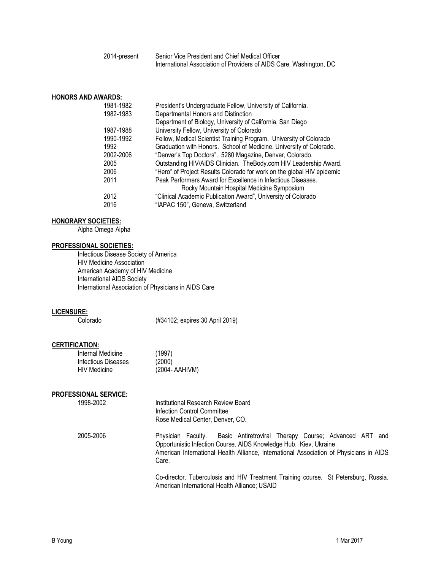2014-present Senior Vice President and Chief Medical Officer International Association of Providers of AIDS Care. Washington, DC

### HONORS AND AWARDS:

| 1981-1982 | President's Undergraduate Fellow, University of California.            |
|-----------|------------------------------------------------------------------------|
| 1982-1983 | Departmental Honors and Distinction                                    |
|           | Department of Biology, University of California, San Diego             |
| 1987-1988 | University Fellow, University of Colorado                              |
| 1990-1992 | Fellow, Medical Scientist Training Program. University of Colorado     |
| 1992      | Graduation with Honors. School of Medicine. University of Colorado.    |
| 2002-2006 | "Denver's Top Doctors". 5280 Magazine, Denver, Colorado.               |
| 2005      | Outstanding HIV/AIDS Clinician. The Body.com HIV Leadership Award.     |
| 2006      | "Hero" of Project Results Colorado for work on the global HIV epidemic |
| 2011      | Peak Performers Award for Excellence in Infectious Diseases.           |
|           | Rocky Mountain Hospital Medicine Symposium                             |
| 2012      | "Clinical Academic Publication Award", University of Colorado          |
| 2016      | "IAPAC 150", Geneva, Switzerland                                       |

#### HONORARY SOCIETIES:

Alpha Omega Alpha

## PROFESSIONAL SOCIETIES:

 Infectious Disease Society of America HIV Medicine Association American Academy of HIV Medicine International AIDS Society International Association of Physicians in AIDS Care

# LICENSURE:<br>Colorado

(#34102; expires 30 April 2019)

# CERTIFICATION:

| Internal Medicine   | (1997)         |
|---------------------|----------------|
| Infectious Diseases | (2000)         |
| HIV Medicine        | (2004- AAHIVM) |

## PROFESSIONAL SERVICE:

| 1998-2002 | Institutional Research Review Board<br>Infection Control Committee<br>Rose Medical Center, Denver, CO.                                                                                                                                                |
|-----------|-------------------------------------------------------------------------------------------------------------------------------------------------------------------------------------------------------------------------------------------------------|
| 2005-2006 | Basic Antiretroviral Therapy Course; Advanced ART and<br>Physician Faculty.<br>Opportunistic Infection Course. AIDS Knowledge Hub. Kiev, Ukraine.<br>American International Health Alliance, International Association of Physicians in AIDS<br>Care. |
|           | Co-director. Tuberculosis and HIV Treatment Training course. St Petersburg, Russia.<br>American International Health Alliance; USAID                                                                                                                  |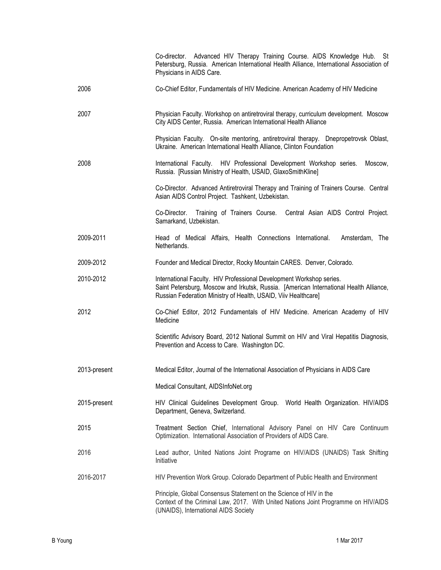|              | Co-director. Advanced HIV Therapy Training Course. AIDS Knowledge Hub. St<br>Petersburg, Russia. American International Health Alliance, International Association of<br>Physicians in AIDS Care.                                |
|--------------|----------------------------------------------------------------------------------------------------------------------------------------------------------------------------------------------------------------------------------|
| 2006         | Co-Chief Editor, Fundamentals of HIV Medicine. American Academy of HIV Medicine                                                                                                                                                  |
| 2007         | Physician Faculty. Workshop on antiretroviral therapy, curriculum development. Moscow<br>City AIDS Center, Russia. American International Health Alliance                                                                        |
|              | Physician Faculty. On-site mentoring, antiretroviral therapy. Dnepropetrovsk Oblast,<br>Ukraine. American International Health Alliance, Clinton Foundation                                                                      |
| 2008         | International Faculty. HIV Professional Development Workshop series.<br>Moscow,<br>Russia. [Russian Ministry of Health, USAID, GlaxoSmithKline]                                                                                  |
|              | Co-Director. Advanced Antiretroviral Therapy and Training of Trainers Course. Central<br>Asian AIDS Control Project. Tashkent, Uzbekistan.                                                                                       |
|              | Training of Trainers Course. Central Asian AIDS Control Project.<br>Co-Director.<br>Samarkand, Uzbekistan.                                                                                                                       |
| 2009-2011    | Head of Medical Affairs, Health Connections International.<br>Amsterdam, The<br>Netherlands.                                                                                                                                     |
| 2009-2012    | Founder and Medical Director, Rocky Mountain CARES. Denver, Colorado.                                                                                                                                                            |
| 2010-2012    | International Faculty. HIV Professional Development Workshop series.<br>Saint Petersburg, Moscow and Irkutsk, Russia. [American International Health Alliance,<br>Russian Federation Ministry of Health, USAID, Viiv Healthcare] |
| 2012         | Co-Chief Editor, 2012 Fundamentals of HIV Medicine. American Academy of HIV<br>Medicine                                                                                                                                          |
|              | Scientific Advisory Board, 2012 National Summit on HIV and Viral Hepatitis Diagnosis,<br>Prevention and Access to Care. Washington DC.                                                                                           |
| 2013-present | Medical Editor, Journal of the International Association of Physicians in AIDS Care                                                                                                                                              |
|              | Medical Consultant, AIDSInfoNet.org                                                                                                                                                                                              |
| 2015-present | HIV Clinical Guidelines Development Group. World Health Organization. HIV/AIDS<br>Department, Geneva, Switzerland.                                                                                                               |
| 2015         | Treatment Section Chief, International Advisory Panel on HIV Care Continuum<br>Optimization. International Association of Providers of AIDS Care.                                                                                |
| 2016         | Lead author, United Nations Joint Programe on HIV/AIDS (UNAIDS) Task Shifting<br>Initiative                                                                                                                                      |
| 2016-2017    | HIV Prevention Work Group. Colorado Department of Public Health and Environment                                                                                                                                                  |
|              | Principle, Global Consensus Statement on the Science of HIV in the<br>Context of the Criminal Law, 2017. With United Nations Joint Programme on HIV/AIDS<br>(UNAIDS), International AIDS Society                                 |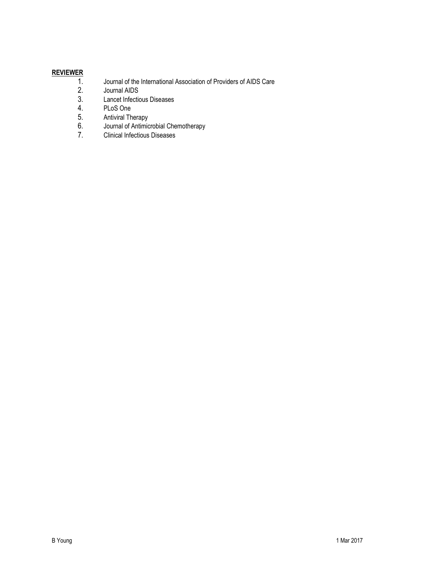# $REVIEWER1.2.$ </u>

- 1. Journal of the International Association of Providers of AIDS Care
- 2. Journal AIDS<br>3. Lancet Infection
- 3. Lancet Infectious Diseases<br>4. PLoS One
- 4. PLoS One<br>5. Antiviral Th
- 5. Antiviral Therapy<br>6. Journal of Antimic
- 6. Journal of Antimicrobial Chemotherapy<br>7. Clinical Infectious Diseases
- 7. Clinical Infectious Diseases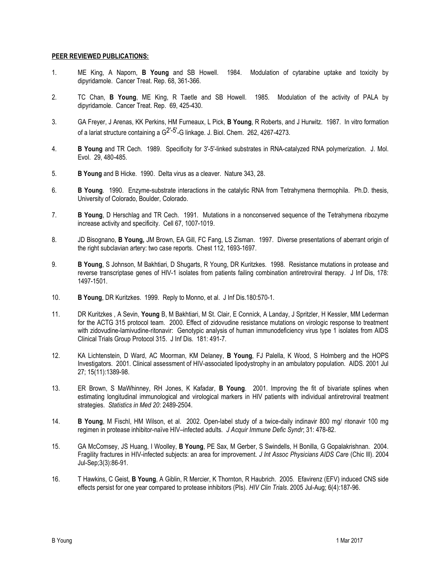### PEER REVIEWED PUBLICATIONS:

- 1. ME King, A Naporn, B Young and SB Howell. 1984. Modulation of cytarabine uptake and toxicity by dipyridamole. Cancer Treat. Rep. 68, 361-366.
- 2. TC Chan, B Young, ME King, R Taetle and SB Howell. 1985. Modulation of the activity of PALA by dipyridamole. Cancer Treat. Rep. 69, 425-430.
- 3. GA Freyer, J Arenas, KK Perkins, HM Furneaux, L Pick, B Young, R Roberts, and J Hurwitz. 1987. In vitro formation of a lariat structure containing a G<sup>2'-5'</sup>-G linkage. J. Biol. Chem. 262, 4267-4273.
- 4. B Young and TR Cech. 1989. Specificity for 3'-5'-linked substrates in RNA-catalyzed RNA polymerization. J. Mol. Evol. 29, 480-485.
- 5. B Young and B Hicke. 1990. Delta virus as a cleaver. Nature 343, 28.
- 6. B Young. 1990. Enzyme-substrate interactions in the catalytic RNA from Tetrahymena thermophila. Ph.D. thesis, University of Colorado, Boulder, Colorado.
- 7. B Young, D Herschlag and TR Cech. 1991. Mutations in a nonconserved sequence of the Tetrahymena ribozyme increase activity and specificity. Cell 67, 1007-1019.
- 8. JD Bisognano, B Young, JM Brown, EA Gill, FC Fang, LS Zisman. 1997. Diverse presentations of aberrant origin of the right subclavian artery: two case reports. Chest 112, 1693-1697.
- 9. B Young, S Johnson, M Bakhtiari, D Shugarts, R Young, DR Kuritzkes. 1998. Resistance mutations in protease and reverse transcriptase genes of HIV-1 isolates from patients failing combination antiretroviral therapy. J Inf Dis, 178: 1497-1501.
- 10. B Young, DR Kuritzkes. 1999. Reply to Monno, et al. J Inf Dis.180:570-1.
- 11. DR Kuritzkes, A Sevin, Young B, M Bakhtiari, M St. Clair, E Connick, A Landay, J Spritzler, H Kessler, MM Lederman for the ACTG 315 protocol team. 2000. Effect of zidovudine resistance mutations on virologic response to treatment with zidovudine-lamivudine-ritonavir: Genotypic analysis of human immunodeficiency virus type 1 isolates from AIDS Clinical Trials Group Protocol 315. J Inf Dis. 181: 491-7.
- 12. KA Lichtenstein, D Ward, AC Moorman, KM Delaney, B Young, FJ Palella, K Wood, S Holmberg and the HOPS Investigators. 2001. Clinical assessment of HIV-associated lipodystrophy in an ambulatory population. AIDS. 2001 Jul 27; 15(11):1389-98.
- 13. ER Brown, S MaWhinney, RH Jones, K Kafadar, B Young. 2001. Improving the fit of bivariate splines when estimating longitudinal immunological and virological markers in HIV patients with individual antiretroviral treatment strategies. Statistics in Med 20: 2489-2504.
- 14. B Young, M Fischl, HM Wilson, et al. 2002. Open-label study of a twice-daily indinavir 800 mg/ ritonavir 100 mg regimen in protease inhibitor-naïve HIV–infected adults. J Acquir Immune Defic Syndr; 31: 478-82.
- 15. GA McComsey, JS Huang, I Woolley, B Young, PE Sax, M Gerber, S Swindells, H Bonilla, G Gopalakrishnan. 2004. Fragility fractures in HIV-infected subjects: an area for improvement. J Int Assoc Physicians AIDS Care (Chic Ill). 2004 Jul-Sep;3(3):86-91.
- 16. T Hawkins, C Geist, B Young, A Giblin, R Mercier, K Thornton, R Haubrich. 2005. Efavirenz (EFV) induced CNS side effects persist for one year compared to protease inhibitors (PIs). HIV Clin Trials. 2005 Jul-Aug; 6(4):187-96.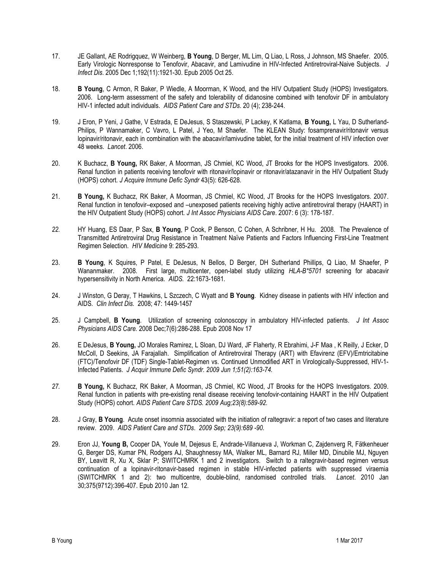- 17. JE Gallant, AE Rodrigquez, W Weinberg, B Young, D Berger, ML Lim, Q Liao, L Ross, J Johnson, MS Shaefer. 2005. Early Virologic Nonresponse to Tenofovir, Abacavir, and Lamivudine in HIV-Infected Antiretroviral-Naive Subjects. J Infect Dis. 2005 Dec 1;192(11):1921-30. Epub 2005 Oct 25.
- 18. B Young, C Armon, R Baker, P Wiedle, A Moorman, K Wood, and the HIV Outpatient Study (HOPS) Investigators. 2006. Long-term assessment of the safety and tolerability of didanosine combined with tenofovir DF in ambulatory HIV-1 infected adult individuals. AIDS Patient Care and STDs. 20 (4); 238-244.
- 19. J Eron, P Yeni, J Gathe, V Estrada, E DeJesus, S Staszewski, P Lackey, K Katlama, B Young, L Yau, D Sutherland-Philips, P Wannamaker, C Vavro, L Patel, J Yeo, M Shaefer. The KLEAN Study: fosamprenavir/ritonavir versus lopinavir/ritonavir, each in combination with the abacavir/lamivudine tablet, for the initial treatment of HIV infection over 48 weeks. Lancet. 2006.
- 20. K Buchacz, B Young, RK Baker, A Moorman, JS Chmiel, KC Wood, JT Brooks for the HOPS Investigators. 2006. Renal function in patients receiving tenofovir with ritonavir/lopinavir or ritonavir/atazanavir in the HIV Outpatient Study (HOPS) cohort. J Acquire Immune Defic Syndr 43(5): 626-628.
- 21. B Young, K Buchacz, RK Baker, A Moorman, JS Chmiel, KC Wood, JT Brooks for the HOPS Investigators. 2007. Renal function in tenofovir–exposed and –unexposed patients receiving highly active antiretroviral therapy (HAART) in the HIV Outpatient Study (HOPS) cohort. J Int Assoc Physicians AIDS Care. 2007: 6 (3): 178-187.
- 22. HY Huang, ES Daar, P Sax, B Young, P Cook, P Benson, C Cohen, A Schribner, H Hu. 2008. The Prevalence of Transmitted Antiretroviral Drug Resistance in Treatment Naïve Patients and Factors Influencing First-Line Treatment Regimen Selection. HIV Medicine 9: 285-293.
- 23. B Young, K Squires, P Patel, E DeJesus, N Bellos, D Berger, DH Sutherland Phillips, Q Liao, M Shaefer, P Wananmaker. 2008. First large, multicenter, open-label study utilizing HLA-B\*5701 screening for abacavir hypersensitivity in North America. AIDS. 22:1673-1681.
- 24. J Winston, G Deray, T Hawkins, L Szczech, C Wyatt and B Young. Kidney disease in patients with HIV infection and AIDS. Clin Infect Dis. 2008; 47: 1449-1457
- 25. J Campbell, B Young. Utilization of screening colonoscopy in ambulatory HIV-infected patients. J Int Assoc Physicians AIDS Care. 2008 Dec;7(6):286-288. Epub 2008 Nov 17
- 26. E DeJesus, B Young, JO Morales Ramirez, L Sloan, DJ Ward, JF Flaherty, R Ebrahimi, J-F Maa , K Reilly, J Ecker, D McColl, D Seekins, JA Farajallah. Simplification of Antiretroviral Therapy (ART) with Efavirenz (EFV)/Emtricitabine (FTC)/Tenofovir DF (TDF) Single-Tablet-Regimen vs. Continued Unmodified ART in Virologically-Suppressed, HIV-1- Infected Patients. J Acquir Immune Defic Syndr. 2009 Jun 1;51(2):163-74.
- 27. B Young, K Buchacz, RK Baker, A Moorman, JS Chmiel, KC Wood, JT Brooks for the HOPS Investigators. 2009. Renal function in patients with pre-existing renal disease receiving tenofovir-containing HAART in the HIV Outpatient Study (HOPS) cohort. AIDS Patient Care STDS. 2009 Aug;23(8):589-92.
- 28. J Gray, B Young. Acute onset insomnia associated with the initiation of raltegravir: a report of two cases and literature review. 2009. AIDS Patient Care and STDs. 2009 Sep; 23(9):689 -90.
- 29. Eron JJ, Young B, Cooper DA, Youle M, Dejesus E, Andrade-Villanueva J, Workman C, Zajdenverg R, Fätkenheuer G, Berger DS, Kumar PN, Rodgers AJ, Shaughnessy MA, Walker ML, Barnard RJ, Miller MD, Dinubile MJ, Nguyen BY, Leavitt R, Xu X, Sklar P; SWITCHMRK 1 and 2 investigators. Switch to a raltegravir-based regimen versus continuation of a lopinavir-ritonavir-based regimen in stable HIV-infected patients with suppressed viraemia (SWITCHMRK 1 and 2): two multicentre, double-blind, randomised controlled trials. Lancet. 2010 Jan 30;375(9712):396-407. Epub 2010 Jan 12.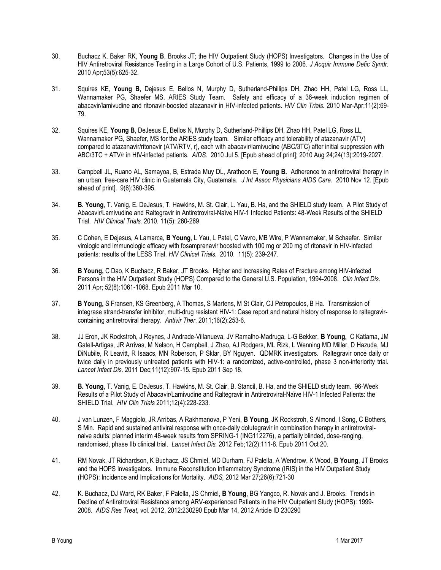- 30. Buchacz K, Baker RK, Young B, Brooks JT; the HIV Outpatient Study (HOPS) Investigators. Changes in the Use of HIV Antiretroviral Resistance Testing in a Large Cohort of U.S. Patients, 1999 to 2006. J Acquir Immune Defic Syndr. 2010 Apr;53(5):625-32.
- 31. Squires KE, Young B, Dejesus E, Bellos N, Murphy D, Sutherland-Phillips DH, Zhao HH, Patel LG, Ross LL, Wannamaker PG, Shaefer MS, ARIES Study Team. Safety and efficacy of a 36-week induction regimen of abacavir/lamivudine and ritonavir-boosted atazanavir in HIV-infected patients. HIV Clin Trials. 2010 Mar-Apr;11(2):69- 79.
- 32. Squires KE, Young B, DeJesus E, Bellos N, Murphy D, Sutherland-Phillips DH, Zhao HH, Patel LG, Ross LL, Wannamaker PG, Shaefer, MS for the ARIES study team. Similar efficacy and tolerability of atazanavir (ATV) compared to atazanavir/ritonavir (ATV/RTV, r), each with abacavir/lamivudine (ABC/3TC) after initial suppression with ABC/3TC + ATV/r in HIV-infected patients. AIDS. 2010 Jul 5. [Epub ahead of print]; 2010 Aug 24;24(13):2019-2027.
- 33. Campbell JL, Ruano AL, Samayoa, B, Estrada Muy DL, Arathoon E, Young B. Adherence to antiretroviral therapy in an urban, free-care HIV clinic in Guatemala City, Guatemala. J Int Assoc Physicians AIDS Care. 2010 Nov 12. [Epub ahead of print]. 9(6):360-395.
- 34. B. Young, T. Vanig, E. DeJesus, T. Hawkins, M. St. Clair, L. Yau, B. Ha, and the SHIELD study team. A Pilot Study of Abacavir/Lamivudine and Raltegravir in Antiretroviral-Naïve HIV-1 Infected Patients: 48-Week Results of the SHIELD Trial. HIV Clinical Trials. 2010. 11(5): 260-269
- 35. C Cohen, E Dejesus, A Lamarca, B Young, L Yau, L Patel, C Vavro, MB Wire, P Wannamaker, M Schaefer. Similar virologic and immunologic efficacy with fosamprenavir boosted with 100 mg or 200 mg of ritonavir in HIV-infected patients: results of the LESS Trial. HIV Clinical Trials. 2010. 11(5): 239-247.
- 36. B Young, C Dao, K Buchacz, R Baker, JT Brooks. Higher and Increasing Rates of Fracture among HIV-infected Persons in the HIV Outpatient Study (HOPS) Compared to the General U.S. Population, 1994-2008. Clin Infect Dis. 2011 Apr; 52(8):1061-1068. Epub 2011 Mar 10.
- 37. B Young, S Fransen, KS Greenberg, A Thomas, S Martens, M St Clair, CJ Petropoulos, B Ha. Transmission of integrase strand-transfer inhibitor, multi-drug resistant HIV-1: Case report and natural history of response to raltegravircontaining antiretroviral therapy. Antivir Ther. 2011;16(2):253-6.
- 38. JJ Eron, JK Rockstroh, J Reynes, J Andrade-Villanueva, JV Ramalho-Madruga, L-G Bekker, B Young, C Katlama, JM Gatell-Artigas, JR Arrivas, M Nelson, H Campbell, J Zhao, AJ Rodgers, ML Rizk, L Wenning MD Miller, D Hazuda, MJ DiNubile, R Leavitt, R Isaacs, MN Roberson, P Sklar, BY Nguyen. QDMRK investigators. Raltegravir once daily or twice daily in previously untreated patients with HIV-1: a randomized, active-controlled, phase 3 non-inferiority trial. Lancet Infect Dis. 2011 Dec;11(12):907-15. Epub 2011 Sep 18.
- 39. B. Young, T. Vanig, E. DeJesus, T. Hawkins, M. St. Clair, B. Stancil, B. Ha, and the SHIELD study team. 96-Week Results of a Pilot Study of Abacavir/Lamivudine and Raltegravir in Antiretroviral-Naïve HIV-1 Infected Patients: the SHIELD Trial. HIV Clin Trials 2011;12(4):228-233.
- 40. J van Lunzen, F Maggiolo, JR Arribas, A Rakhmanova, P Yeni, B Young, JK Rockstroh, S Almond, I Song, C Bothers, S Min. Rapid and sustained antiviral response with once-daily dolutegravir in combination therapy in antiretroviralnaive adults: planned interim 48-week results from SPRING-1 (ING112276), a partially blinded, dose-ranging, randomised, phase IIb clinical trial. Lancet Infect Dis. 2012 Feb;12(2):111-8. Epub 2011 Oct 20.
- 41. RM Novak, JT Richardson, K Buchacz, JS Chmiel, MD Durham, FJ Palella, A Wendrow, K Wood, B Young, JT Brooks and the HOPS Investigators. Immune Reconstitution Inflammatory Syndrome (IRIS) in the HIV Outpatient Study (HOPS): Incidence and Implications for Mortality. AIDS, 2012 Mar 27;26(6):721-30
- 42. K. Buchacz, DJ Ward, RK Baker, F Palella, JS Chmiel, B Young, BG Yangco, R. Novak and J. Brooks. Trends in Decline of Antiretroviral Resistance among ARV-experienced Patients in the HIV Outpatient Study (HOPS): 1999- 2008. AIDS Res Treat, vol. 2012, 2012:230290 Epub Mar 14, 2012 Article ID 230290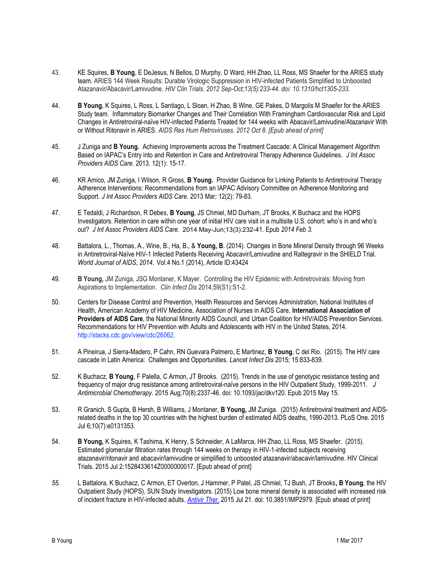- 43. KE Squires, B Young, E DeJesus, N Bellos, D Murphy, D Ward, HH Zhao, LL Ross, MS Shaefer for the ARIES study team. ARIES 144 Week Results: Durable Virologic Suppression in HIV-infected Patients Simplified to Unboosted Atazanavir/Abacavir/Lamivudine. HIV Clin Trials. 2012 Sep-Oct;13(5):233-44. doi: 10.1310/hct1305-233.
- 44. B Young, K Squires, L Ross, L Santiago, L Sloan, H Zhao, B Wine, GE Pakes, D Margolis M Shaefer for the ARIES Study team. Inflammatory Biomarker Changes and Their Correlation With Framingham Cardiovascular Risk and Lipid Changes in Antiretroviral-naïve HIV-infected Patients Treated for 144 weeks with Abacavir/Lamivudine/Atazanavir With or Without Ritonavir in ARIES. AIDS Res Hum Retroviruses. 2012 Oct 8. [Epub ahead of print]
- 45. J Zuniga and B Young. Achieving Improvements across the Treatment Cascade: A Clinical Management Algorithm Based on IAPAC's Entry into and Retention in Care and Antiretroviral Therapy Adherence Guidelines. J Int Assoc Providers AIDS Care. 2013. 12(1): 15-17.
- 46. KR Amico, JM Zuniga, I Wilson, R Gross, B Young. Provider Guidance for Linking Patients to Antiretroviral Therapy Adherence Interventions: Recommendations from an IAPAC Advisory Committee on Adherence Monitoring and Support. J Int Assoc Providers AIDS Care. 2013 Mar; 12(2): 79-83.
- 47. E Tedaldi, J Richardson, R Debes, B Young, JS Chmiel, MD Durham, JT Brooks, K Buchacz and the HOPS Investigators. Retention in care within one year of initial HIV care visit in a multisite U.S. cohort: who's in and who's out? J Int Assoc Providers AIDS Care. 2014 May-Jun;13(3):232-41. Epub 2014 Feb 3.
- 48. Battalora, L., Thomas, A., Wine, B., Ha, B., & Young, B. (2014). Changes in Bone Mineral Density through 96 Weeks in Antiretroviral-Naïve HIV-1 Infected Patients Receiving Abacavir/Lamivudine and Raltegravir in the SHIELD Trial. World Journal of AIDS, 2014. Vol.4 No.1 (2014), Article ID:43424
- 49. B Young, JM Zuniga, JSG Montaner, K Mayer. Controlling the HIV Epidemic with Antiretrovirals: Moving from Aspirations to Implementation. Clin Infect Dis 2014;59(S1):S1-2.
- 50. Centers for Disease Control and Prevention, Health Resources and Services Administration, National Institutes of Health, American Academy of HIV Medicine, Association of Nurses in AIDS Care, International Association of Providers of AIDS Care, the National Minority AIDS Council, and Urban Coalition for HIV/AIDS Prevention Services. Recommendations for HIV Prevention with Adults and Adolescents with HIV in the United States, 2014. http://stacks.cdc.gov/view/cdc/26062.
- 51. A Pineirua, J Sierra-Madero, P Cahn, RN Guevara Palmero, E Martinez, B Young, C del Rio. (2015). The HIV care cascade in Latin America: Challenges and Opportunities. Lancet Infect Dis 2015; 15:833-839.
- 52. K Buchacz, B Young, F Palella, C Armon, JT Brooks. (2015). Trends in the use of genotypic resistance testing and frequency of major drug resistance among antiretroviral-naïve persons in the HIV Outpatient Study, 1999-2011. J Antimicrobial Chemotherapy. 2015 Aug;70(8):2337-46. doi: 10.1093/jac/dkv120. Epub 2015 May 15.
- 53. R Granich, S Gupta, B Hersh, B Williams, J Montaner, B Young, JM Zuniga. (2015) Antiretroviral treatment and AIDSrelated deaths in the top 30 countries with the highest burden of estimated AIDS deaths, 1990-2013. PLoS One. 2015 Jul 6;10(7):e0131353.
- 54. B Young, K Squires, K Tashima, K Henry, S Schneider, A LaMarca, HH Zhao, LL Ross, MS Shaefer. (2015). Estimated glomerular filtration rates through 144 weeks on therapy in HIV-1-infected subjects receiving atazanavir/ritonavir and abacavir/lamivudine or simplified to unboosted atazanavir/abacavir/lamivudine. HIV Clinical Trials. 2015 Jul 2:1528433614Z0000000017. [Epub ahead of print]
- 55. L Battalora, K Buchacz, C Armon, ET Overton, J Hammer, P Patel, JS Chmiel, TJ Bush, JT Brooks, B Young, the HIV Outpatient Study (HOPS), SUN Study Investigators. (2015) Low bone mineral density is associated with increased risk of incident fracture in HIV-infected adults. Antivir Ther. 2015 Jul 21. doi: 10.3851/IMP2979. [Epub ahead of print]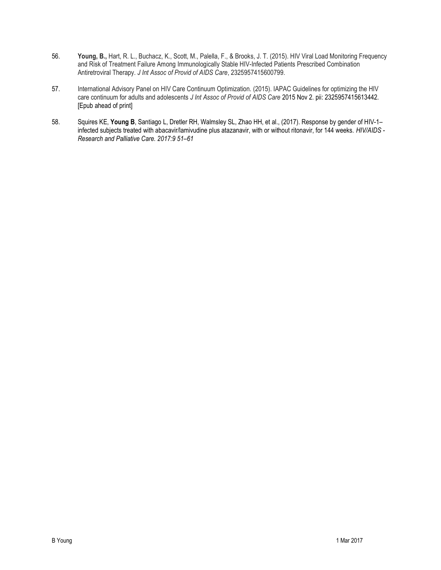- 56. Young, B., Hart, R. L., Buchacz, K., Scott, M., Palella, F., & Brooks, J. T. (2015). HIV Viral Load Monitoring Frequency and Risk of Treatment Failure Among Immunologically Stable HIV-Infected Patients Prescribed Combination Antiretroviral Therapy. J Int Assoc of Provid of AIDS Care, 2325957415600799.
- 57. International Advisory Panel on HIV Care Continuum Optimization. (2015). IAPAC Guidelines for optimizing the HIV care continuum for adults and adolescents J Int Assoc of Provid of AIDS Care 2015 Nov 2. pii: 2325957415613442. [Epub ahead of print]
- 58. Squires KE, Young B, Santiago L, Dretler RH, Walmsley SL, Zhao HH, et al., (2017). Response by gender of HIV-1– infected subjects treated with abacavir/lamivudine plus atazanavir, with or without ritonavir, for 144 weeks. HIV/AIDS - Research and Palliative Care. 2017:9 51–61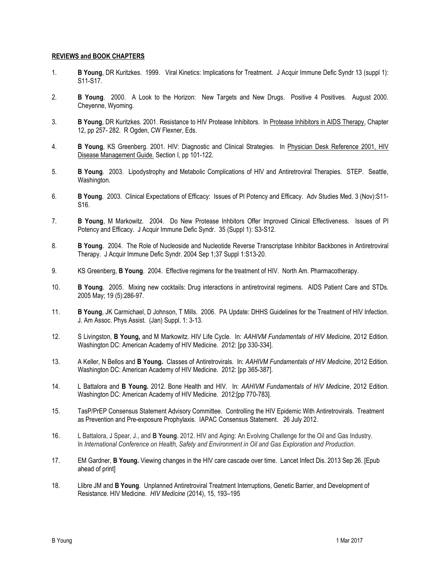### REVIEWS and BOOK CHAPTERS

- 1. B Young, DR Kuritzkes. 1999. Viral Kinetics: Implications for Treatment. J Acquir Immune Defic Syndr 13 (suppl 1): S11-S17.
- 2. B Young. 2000. A Look to the Horizon: New Targets and New Drugs. Positive 4 Positives. August 2000. Cheyenne, Wyoming.
- 3. B Young, DR Kuritzkes. 2001. Resistance to HIV Protease Inhibitors. In Protease Inhibitors in AIDS Therapy, Chapter 12, pp 257- 282. R Ogden, CW Flexner, Eds.
- 4. B Young, KS Greenberg. 2001. HIV: Diagnostic and Clinical Strategies. In Physician Desk Reference 2001, HIV Disease Management Guide. Section I, pp 101-122.
- 5. B Young. 2003. Lipodystrophy and Metabolic Complications of HIV and Antiretroviral Therapies. STEP. Seattle, Washington.
- 6. B Young. 2003. Clinical Expectations of Efficacy: Issues of PI Potency and Efficacy. Adv Studies Med. 3 (Nov):S11- S16.
- 7. B Young, M Markowitz. 2004. Do New Protease Inhbitors Offer Improved Clinical Effectiveness. Issues of PI Potency and Efficacy. J Acquir Immune Defic Syndr. 35 (Suppl 1): S3-S12.
- 8. B Young. 2004. The Role of Nucleoside and Nucleotide Reverse Transcriptase Inhibitor Backbones in Antiretroviral Therapy. J Acquir Immune Defic Syndr. 2004 Sep 1;37 Suppl 1:S13-20.
- 9. KS Greenberg, B Young. 2004. Effective regimens for the treatment of HIV. North Am. Pharmacotherapy.
- 10. B Young. 2005. Mixing new cocktails: Drug interactions in antiretroviral regimens. AIDS Patient Care and STDs. 2005 May; 19 (5):286-97.
- 11. B Young, JK Carmichael, D Johnson, T Mills. 2006. PA Update: DHHS Guidelines for the Treatment of HIV Infection. J. Am Assoc. Phys Assist. (Jan) Suppl. 1: 3-13.
- 12. S Livingston, B Young, and M Markowitz. HIV Life Cycle. In: AAHIVM Fundamentals of HIV Medicine, 2012 Edition. Washington DC: American Academy of HIV Medicine. 2012: [pp 330-334].
- 13. A Keller, N Bellos and B Young. Classes of Antiretrovirals. In: AAHIVM Fundamentals of HIV Medicine, 2012 Edition. Washington DC: American Academy of HIV Medicine. 2012: [pp 365-387].
- 14. L Battalora and B Young. 2012. Bone Health and HIV. In: AAHIVM Fundamentals of HIV Medicine, 2012 Edition. Washington DC: American Academy of HIV Medicine. 2012:[pp 770-783].
- 15. TasP/PrEP Consensus Statement Advisory Committee. Controlling the HIV Epidemic With Antiretrovirals. Treatment as Prevention and Pre-exposure Prophylaxis. IAPAC Consensus Statement. 26 July 2012.
- 16. L Battalora, J Spear, J., and B Young. 2012. HIV and Aging: An Evolving Challenge for the Oil and Gas Industry. In International Conference on Health, Safety and Environment in Oil and Gas Exploration and Production.
- 17. EM Gardner, B Young. Viewing changes in the HIV care cascade over time. Lancet Infect Dis. 2013 Sep 26. [Epub ahead of print]
- 18. Llibre JM and B Young. Unplanned Antiretroviral Treatment Interruptions, Genetic Barrier, and Development of Resistance. HIV Medicine. HIV Medicine (2014), 15, 193–195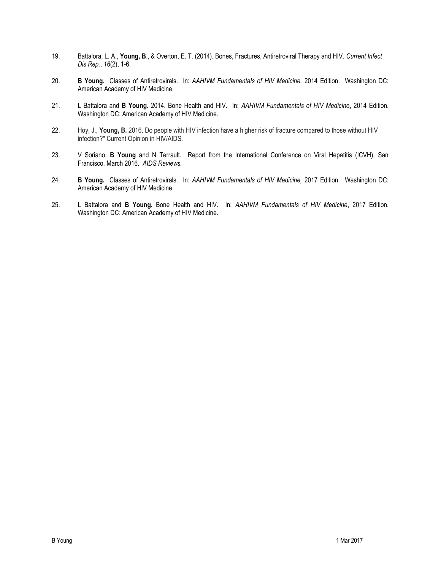- 19. Battalora, L. A., Young, B., & Overton, E. T. (2014). Bones, Fractures, Antiretroviral Therapy and HIV. Current Infect Dis Rep., 16(2), 1-6.
- 20. B Young. Classes of Antiretrovirals. In: AAHIVM Fundamentals of HIV Medicine, 2014 Edition. Washington DC: American Academy of HIV Medicine.
- 21. L Battalora and B Young. 2014. Bone Health and HIV. In: AAHIVM Fundamentals of HIV Medicine, 2014 Edition. Washington DC: American Academy of HIV Medicine.
- 22. Hoy, J., Young, B. 2016. Do people with HIV infection have a higher risk of fracture compared to those without HIV infection?" Current Opinion in HIV/AIDS.
- 23. V Soriano, B Young and N Terrault. Report from the International Conference on Viral Hepatitis (ICVH), San Francisco, March 2016. AIDS Reviews.
- 24. B Young. Classes of Antiretrovirals. In: AAHIVM Fundamentals of HIV Medicine, 2017 Edition. Washington DC: American Academy of HIV Medicine.
- 25. L Battalora and B Young. Bone Health and HIV. In: AAHIVM Fundamentals of HIV Medicine, 2017 Edition. Washington DC: American Academy of HIV Medicine.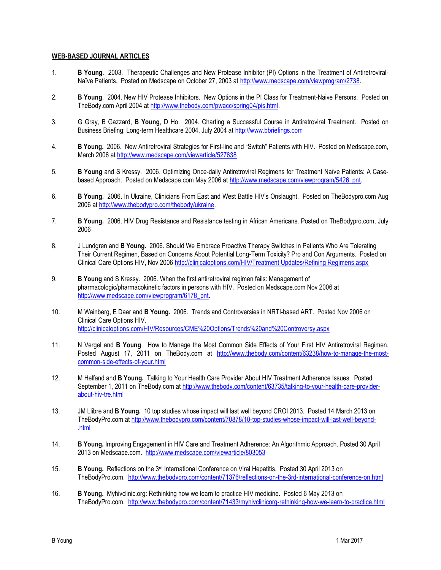### WEB-BASED JOURNAL ARTICLES

- 1. B Young. 2003. Therapeutic Challenges and New Protease Inhibitor (PI) Options in the Treatment of Antiretroviral-Naïve Patients. Posted on Medscape on October 27, 2003 at http://www.medscape.com/viewprogram/2738.
- 2. B Young. 2004. New HIV Protease Inhibitors. New Options in the PI Class for Treatment-Naive Persons. Posted on TheBody.com April 2004 at http://www.thebody.com/pwacc/spring04/pis.html.
- 3. G Gray, B Gazzard, B Young, D Ho. 2004. Charting a Successful Course in Antiretroviral Treatment. Posted on Business Briefing: Long-term Healthcare 2004, July 2004 at http://www.bbriefings.com
- 4. B Young. 2006. New Antiretroviral Strategies for First-line and "Switch" Patients with HIV. Posted on Medscape.com, March 2006 at http://www.medscape.com/viewarticle/527638
- 5. B Young and S Kressy. 2006. Optimizing Once-daily Antiretroviral Regimens for Treatment Naïve Patients: A Casebased Approach. Posted on Medscape.com May 2006 at http://www.medscape.com/viewprogram/5426\_pnt.
- 6. B Young. 2006. In Ukraine, Clinicians From East and West Battle HIV's Onslaught. Posted on TheBodypro.com Aug 2006 at http://www.thebodypro.com/thebody/ukraine.
- 7. B Young. 2006. HIV Drug Resistance and Resistance testing in African Americans. Posted on TheBodypro.com, July 2006
- 8. J Lundgren and B Young. 2006. Should We Embrace Proactive Therapy Switches in Patients Who Are Tolerating Their Current Regimen, Based on Concerns About Potential Long-Term Toxicity? Pro and Con Arguments. Posted on Clinical Care Options HIV, Nov 2006 http://clinicaloptions.com/HIV/Treatment Updates/Refining Regimens.aspx
- 9. B Young and S Kressy. 2006. When the first antiretroviral regimen fails: Management of pharmacologic/pharmacokinetic factors in persons with HIV. Posted on Medscape.com Nov 2006 at http://www.medscape.com/viewprogram/6178\_pnt.
- 10. M Wainberg, E Daar and **B Young.** 2006. Trends and Controversies in NRTI-based ART. Posted Nov 2006 on Clinical Care Options HIV. http://clinicaloptions.com/HIV/Resources/CME%20Options/Trends%20and%20Controversy.aspx
- 11. N Vergel and **B Young**. How to Manage the Most Common Side Effects of Your First HIV Antiretroviral Regimen. Posted August 17, 2011 on TheBody.com at http://www.thebody.com/content/63238/how-to-manage-the-mostcommon-side-effects-of-your.html
- 12. M Helfand and B Young. Talking to Your Health Care Provider About HIV Treatment Adherence Issues. Posted September 1, 2011 on TheBody.com at http://www.thebody.com/content/63735/talking-to-your-health-care-providerabout-hiv-tre.html
- 13. JM Llibre and **B Young.** 10 top studies whose impact will last well beyond CROI 2013. Posted 14 March 2013 on TheBodyPro.com at http://www.thebodypro.com/content/70878/10-top-studies-whose-impact-will-last-well-beyond- .html
- 14. B Young. Improving Engagement in HIV Care and Treatment Adherence: An Algorithmic Approach. Posted 30 April 2013 on Medscape.com. http://www.medscape.com/viewarticle/803053
- 15. B Young. Reflections on the 3<sup>rd</sup> International Conference on Viral Hepatitis. Posted 30 April 2013 on TheBodyPro.com. http://www.thebodypro.com/content/71376/reflections-on-the-3rd-international-conference-on.html
- 16. B Young. Myhivclinic.org: Rethinking how we learn to practice HIV medicine. Posted 6 May 2013 on TheBodyPro.com. http://www.thebodypro.com/content/71433/myhivclinicorg-rethinking-how-we-learn-to-practice.html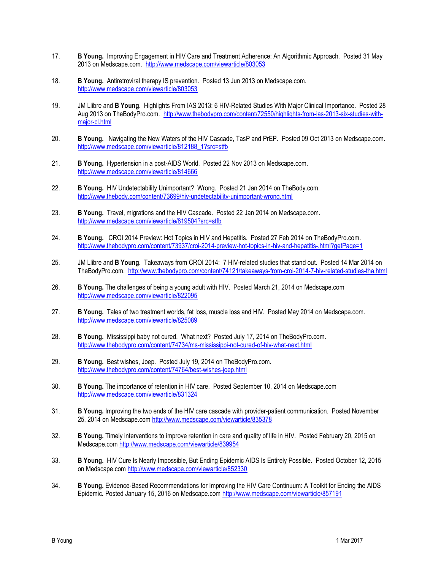- 17. B Young. Improving Engagement in HIV Care and Treatment Adherence: An Algorithmic Approach. Posted 31 May 2013 on Medscape.com. http://www.medscape.com/viewarticle/803053
- 18. B Young. Antiretroviral therapy IS prevention. Posted 13 Jun 2013 on Medscape.com. http://www.medscape.com/viewarticle/803053
- 19. JM Llibre and **B Young.** Highlights From IAS 2013: 6 HIV-Related Studies With Major Clinical Importance. Posted 28 Aug 2013 on TheBodyPro.com. http://www.thebodypro.com/content/72550/highlights-from-ias-2013-six-studies-withmajor-cl.html
- 20. B Young. Navigating the New Waters of the HIV Cascade, TasP and PrEP. Posted 09 Oct 2013 on Medscape.com. http://www.medscape.com/viewarticle/812188\_1?src=stfb
- 21. B Young. Hypertension in a post-AIDS World. Posted 22 Nov 2013 on Medscape.com. http://www.medscape.com/viewarticle/814666
- 22. B Young. HIV Undetectability Unimportant? Wrong. Posted 21 Jan 2014 on TheBody.com. http://www.thebody.com/content/73699/hiv-undetectability-unimportant-wrong.html
- 23. B Young. Travel, migrations and the HIV Cascade. Posted 22 Jan 2014 on Medscape.com. http://www.medscape.com/viewarticle/819504?src=stfb
- 24. B Young. CROI 2014 Preview: Hot Topics in HIV and Hepatitis. Posted 27 Feb 2014 on TheBodyPro.com. http://www.thebodypro.com/content/73937/croi-2014-preview-hot-topics-in-hiv-and-hepatitis-.html?getPage=1
- 25. JM Llibre and B Young. Takeaways from CROI 2014: 7 HIV-related studies that stand out. Posted 14 Mar 2014 on TheBodyPro.com. http://www.thebodypro.com/content/74121/takeaways-from-croi-2014-7-hiv-related-studies-tha.html
- 26. B Young. The challenges of being a young adult with HIV. Posted March 21, 2014 on Medscape.com http://www.medscape.com/viewarticle/822095
- 27. B Young. Tales of two treatment worlds, fat loss, muscle loss and HIV. Posted May 2014 on Medscape.com. http://www.medscape.com/viewarticle/825089
- 28. B Young. Mississippi baby not cured. What next? Posted July 17, 2014 on TheBodyPro.com. http://www.thebodypro.com/content/74734/ms-mississippi-not-cured-of-hiv-what-next.html
- 29. B Young. Best wishes, Joep. Posted July 19, 2014 on TheBodyPro.com. http://www.thebodypro.com/content/74764/best-wishes-joep.html
- 30. B Young. The importance of retention in HIV care. Posted September 10, 2014 on Medscape.com http://www.medscape.com/viewarticle/831324
- 31. B Young. Improving the two ends of the HIV care cascade with provider-patient communication. Posted November 25, 2014 on Medscape.com http://www.medscape.com/viewarticle/835378
- 32. B Young. Timely interventions to improve retention in care and quality of life in HIV. Posted February 20, 2015 on Medscape.com http://www.medscape.com/viewarticle/839954
- 33. B Young. HIV Cure Is Nearly Impossible, But Ending Epidemic AIDS Is Entirely Possible. Posted October 12, 2015 on Medscape.com http://www.medscape.com/viewarticle/852330
- 34. B Young. Evidence-Based Recommendations for Improving the HIV Care Continuum: A Toolkit for Ending the AIDS Epidemic. Posted January 15, 2016 on Medscape.com http://www.medscape.com/viewarticle/857191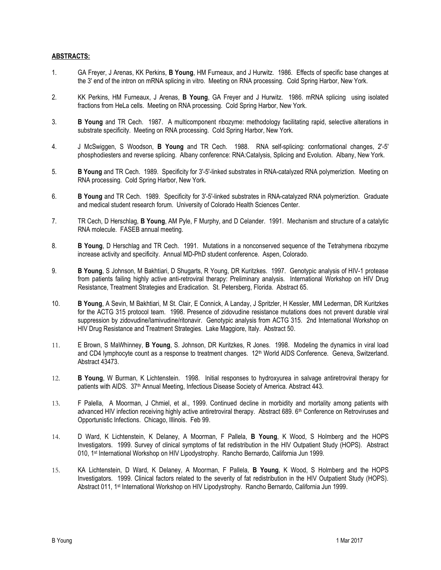## ABSTRACTS:

- 1. GA Freyer, J Arenas, KK Perkins, B Young, HM Furneaux, and J Hurwitz. 1986. Effects of specific base changes at the 3' end of the intron on mRNA splicing in vitro. Meeting on RNA processing. Cold Spring Harbor, New York.
- 2. KK Perkins, HM Furneaux, J Arenas, B Young, GA Freyer and J Hurwitz. 1986. mRNA splicing using isolated fractions from HeLa cells. Meeting on RNA processing. Cold Spring Harbor, New York.
- 3. B Young and TR Cech. 1987. A multicomponent ribozyme: methodology facilitating rapid, selective alterations in substrate specificity. Meeting on RNA processing. Cold Spring Harbor, New York.
- 4. J McSwiggen, S Woodson, B Young and TR Cech. 1988. RNA self-splicing: conformational changes, 2'-5' phosphodiesters and reverse splicing. Albany conference: RNA:Catalysis, Splicing and Evolution. Albany, New York.
- 5. B Young and TR Cech. 1989. Specificity for 3'-5'-linked substrates in RNA-catalyzed RNA polymeriztion. Meeting on RNA processing. Cold Spring Harbor, New York.
- 6. B Young and TR Cech. 1989. Specificity for 3'-5'-linked substrates in RNA-catalyzed RNA polymeriztion. Graduate and medical student research forum. University of Colorado Health Sciences Center.
- 7. TR Cech, D Herschlag, B Young, AM Pyle, F Murphy, and D Celander. 1991. Mechanism and structure of a catalytic RNA molecule. FASEB annual meeting.
- 8. B Young, D Herschlag and TR Cech. 1991. Mutations in a nonconserved sequence of the Tetrahymena ribozyme increase activity and specificity. Annual MD-PhD student conference. Aspen, Colorado.
- 9. B Young, S Johnson, M Bakhtiari, D Shugarts, R Young, DR Kuritzkes. 1997. Genotypic analysis of HIV-1 protease from patients failing highly active anti-retroviral therapy: Preliminary analysis. International Workshop on HIV Drug Resistance, Treatment Strategies and Eradication. St. Petersberg, Florida. Abstract 65.
- 10. B Young, A Sevin, M Bakhtiari, M St. Clair, E Connick, A Landay, J Spritzler, H Kessler, MM Lederman, DR Kuritzkes for the ACTG 315 protocol team. 1998. Presence of zidovudine resistance mutations does not prevent durable viral suppression by zidovudine/lamivudine/ritonavir. Genotypic analysis from ACTG 315. 2nd International Workshop on HIV Drug Resistance and Treatment Strategies. Lake Maggiore, Italy. Abstract 50.
- 11. E Brown, S MaWhinney, B Young, S. Johnson, DR Kuritzkes, R Jones. 1998. Modeling the dynamics in viral load and CD4 lymphocyte count as a response to treatment changes. 12<sup>th</sup> World AIDS Conference. Geneva, Switzerland. Abstract 43473.
- 12. B Young, W Burman, K Lichtenstein. 1998. Initial responses to hydroxyurea in salvage antiretroviral therapy for patients with AIDS. 37<sup>th</sup> Annual Meeting, Infectious Disease Society of America. Abstract 443.
- 13. F Palella, A Moorman, J Chmiel, et al., 1999. Continued decline in morbidity and mortality among patients with advanced HIV infection receiving highly active antiretroviral therapy. Abstract 689. 6<sup>th</sup> Conference on Retroviruses and Opportunistic Infections. Chicago, Illinois. Feb 99.
- 14. D Ward, K Lichtenstein, K Delaney, A Moorman, F Pallela, B Young, K Wood, S Holmberg and the HOPS Investigators. 1999. Survey of clinical symptoms of fat redistribution in the HIV Outpatient Study (HOPS). Abstract 010, 1st International Workshop on HIV Lipodystrophy. Rancho Bernardo, California Jun 1999.
- 15. KA Lichtenstein, D Ward, K Delaney, A Moorman, F Pallela, B Young, K Wood, S Holmberg and the HOPS Investigators. 1999. Clinical factors related to the severity of fat redistribution in the HIV Outpatient Study (HOPS). Abstract 011, 1st International Workshop on HIV Lipodystrophy. Rancho Bernardo, California Jun 1999.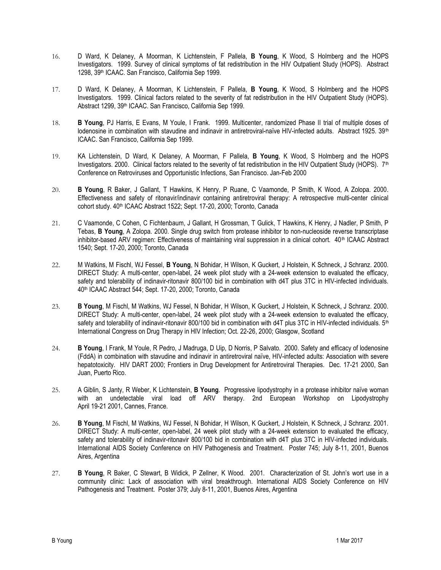- 16. D Ward, K Delaney, A Moorman, K Lichtenstein, F Pallela, B Young, K Wood, S Holmberg and the HOPS Investigators. 1999. Survey of clinical symptoms of fat redistribution in the HIV Outpatient Study (HOPS). Abstract 1298, 39th ICAAC. San Francisco, California Sep 1999.
- 17. D Ward, K Delaney, A Moorman, K Lichtenstein, F Pallela, B Young, K Wood, S Holmberg and the HOPS Investigators. 1999. Clinical factors related to the severity of fat redistribution in the HIV Outpatient Study (HOPS). Abstract 1299, 39<sup>th</sup> ICAAC. San Francisco, California Sep 1999.
- 18. B Young, PJ Harris, E Evans, M Youle, I Frank. 1999. Multicenter, randomized Phase II trial of multiple doses of lodenosine in combination with stavudine and indinavir in antiretroviral-naïve HIV-infected adults. Abstract 1925. 39<sup>th</sup> ICAAC. San Francisco, California Sep 1999.
- 19. KA Lichtenstein, D Ward, K Delaney, A Moorman, F Pallela, B Young, K Wood, S Holmberg and the HOPS Investigators. 2000. Clinical factors related to the severity of fat redistribution in the HIV Outpatient Study (HOPS).  $7<sup>th</sup>$ Conference on Retroviruses and Opportunistic Infections, San Francisco. Jan-Feb 2000
- 20. B Young, R Baker, J Gallant, T Hawkins, K Henry, P Ruane, C Vaamonde, P Smith, K Wood, A Zolopa. 2000. Effectiveness and safety of ritonavir/indinavir containing antiretroviral therapy: A retrospective multi-center clinical cohort study. 40<sup>th</sup> ICAAC Abstract 1522; Sept. 17-20, 2000; Toronto, Canada
- 21. C Vaamonde, C Cohen, C Fichtenbaum, J Gallant, H Grossman, T Gulick, T Hawkins, K Henry, J Nadler, P Smith, P Tebas, **B Young**, A Zolopa. 2000. Single drug switch from protease inhibitor to non-nucleoside reverse transcriptase inhibitor-based ARV regimen: Effectiveness of maintaining viral suppression in a clinical cohort. 40<sup>th</sup> ICAAC Abstract 1540; Sept. 17-20, 2000; Toronto, Canada
- 22. M Watkins, M Fischl, WJ Fessel, B Young, N Bohidar, H Wilson, K Guckert, J Holstein, K Schneck, J Schranz. 2000. DIRECT Study: A multi-center, open-label, 24 week pilot study with a 24-week extension to evaluated the efficacy, safety and tolerability of indinavir-ritonavir 800/100 bid in combination with d4T plus 3TC in HIV-infected individuals. 40th ICAAC Abstract 544; Sept. 17-20, 2000; Toronto, Canada
- 23. B Young, M Fischl, M Watkins, WJ Fessel, N Bohidar, H Wilson, K Guckert, J Holstein, K Schneck, J Schranz. 2000. DIRECT Study: A multi-center, open-label, 24 week pilot study with a 24-week extension to evaluated the efficacy, safety and tolerability of indinavir-ritonavir 800/100 bid in combination with d4T plus 3TC in HIV-infected individuals. 5<sup>th</sup> International Congress on Drug Therapy in HIV Infection; Oct. 22-26, 2000; Glasgow, Scotland
- 24. B Young, I Frank, M Youle, R Pedro, J Madruga, D Uip, D Norris, P Salvato. 2000. Safety and efficacy of lodenosine (FddA) in combination with stavudine and indinavir in antiretroviral naïve, HIV-infected adults: Association with severe hepatotoxicity. HIV DART 2000; Frontiers in Drug Development for Antiretroviral Therapies. Dec. 17-21 2000, San Juan, Puerto Rico.
- 25. A Giblin, S Janty, R Weber, K Lichtenstein, B Young. Progressive lipodystrophy in a protease inhibitor naïve woman with an undetectable viral load off ARV therapy. 2nd European Workshop on Lipodystrophy April 19-21 2001, Cannes, France.
- 26. B Young, M Fischl, M Watkins, WJ Fessel, N Bohidar, H Wilson, K Guckert, J Holstein, K Schneck, J Schranz. 2001. DIRECT Study: A multi-center, open-label, 24 week pilot study with a 24-week extension to evaluated the efficacy, safety and tolerability of indinavir-ritonavir 800/100 bid in combination with d4T plus 3TC in HIV-infected individuals. International AIDS Society Conference on HIV Pathogenesis and Treatment. Poster 745; July 8-11, 2001, Buenos Aires, Argentina
- 27. B Young, R Baker, C Stewart, B Widick, P Zellner, K Wood. 2001. Characterization of St. John's wort use in a community clinic: Lack of association with viral breakthrough. International AIDS Society Conference on HIV Pathogenesis and Treatment. Poster 379; July 8-11, 2001, Buenos Aires, Argentina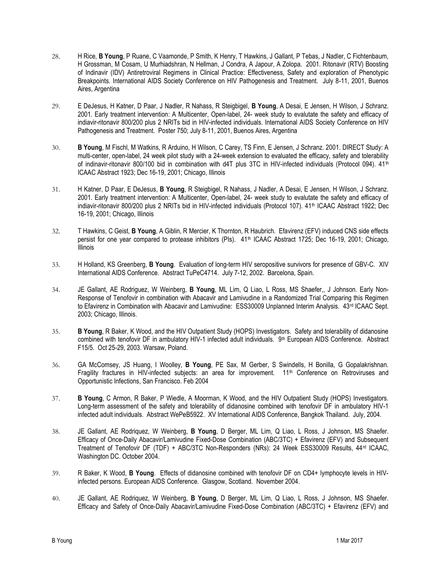- 28. H Rice, B Young, P Ruane, C Vaamonde, P Smith, K Henry, T Hawkins, J Gallant, P Tebas, J Nadler, C Fichtenbaum, H Grossman, M Cosam, U Murhiadshran, N Hellman, J Condra, A Japour, A Zolopa. 2001. Ritonavir (RTV) Boosting of Indinavir (IDV) Antiretroviral Regimens in Clinical Practice: Effectiveness, Safety and exploration of Phenotypic Breakpoints. International AIDS Society Conference on HIV Pathogenesis and Treatment. July 8-11, 2001, Buenos Aires, Argentina
- 29. E DeJesus, H Katner, D Paar, J Nadler, R Nahass, R Steigbigel, B Young, A Desai, E Jensen, H Wilson, J Schranz. 2001. Early treatment intervention: A Multicenter, Open-label, 24- week study to evalutate the safety and efficacy of indiavir-ritonavir 800/200 plus 2 NRITs bid in HIV-infected individuals. International AIDS Society Conference on HIV Pathogenesis and Treatment. Poster 750; July 8-11, 2001, Buenos Aires, Argentina
- 30. B Young, M Fischl, M Watkins, R Arduino, H Wilson, C Carey, TS Finn, E Jensen, J Schranz. 2001. DIRECT Study: A multi-center, open-label, 24 week pilot study with a 24-week extension to evaluated the efficacy, safety and tolerability of indinavir-ritonavir 800/100 bid in combination with d4T plus 3TC in HIV-infected individuals (Protocol 094). 41<sup>th</sup> ICAAC Abstract 1923; Dec 16-19, 2001; Chicago, Illinois
- 31. H Katner, D Paar, E DeJesus, B Young, R Steigbigel, R Nahass, J Nadler, A Desai, E Jensen, H Wilson, J Schranz. 2001. Early treatment intervention: A Multicenter, Open-label, 24- week study to evalutate the safety and efficacy of indiavir-ritonavir 800/200 plus 2 NRITs bid in HIV-infected individuals (Protocol 107). 41<sup>th</sup> ICAAC Abstract 1922; Dec 16-19, 2001; Chicago, Illinois
- 32. T Hawkins, C Geist, B Young, A Giblin, R Mercier, K Thornton, R Haubrich. Efavirenz (EFV) induced CNS side effects persist for one year compared to protease inhibitors (PIs). 41<sup>th</sup> ICAAC Abstract 1725; Dec 16-19, 2001; Chicago, Illinois
- 33. H Holland, KS Greenberg, B Young. Evaluation of long-term HIV seropositive survivors for presence of GBV-C. XIV International AIDS Conference. Abstract TuPeC4714. July 7-12, 2002. Barcelona, Spain.
- 34. JE Gallant, AE Rodriguez, W Weinberg, B Young, ML Lim, Q Liao, L Ross, MS Shaefer,, J Johnson. Early Non-Response of Tenofovir in combination with Abacavir and Lamivudine in a Randomized Trial Comparing this Regimen to Efavirenz in Combination with Abacavir and Lamivudine: ESS30009 Unplanned Interim Analysis. 43rd ICAAC Sept. 2003; Chicago, Illinois.
- 35. B Young, R Baker, K Wood, and the HIV Outpatient Study (HOPS) Investigators. Safety and tolerability of didanosine combined with tenofovir DF in ambulatory HIV-1 infected adult individuals. 9<sup>th</sup> European AIDS Conference. Abstract F15/5. Oct 25-29, 2003. Warsaw, Poland.
- 36. GA McComsey, JS Huang, I Woolley, B Young, PE Sax, M Gerber, S Swindells, H Bonilla, G Gopalakrishnan. Fragility fractures in HIV-infected subjects: an area for improvement. 11<sup>th</sup> Conference on Retroviruses and Opportunistic Infections, San Francisco. Feb 2004
- 37. B Young, C Armon, R Baker, P Wiedle, A Moorman, K Wood, and the HIV Outpatient Study (HOPS) Investigators. Long-term assessment of the safety and tolerability of didanosine combined with tenofovir DF in ambulatory HIV-1 infected adult individuals. Abstract WePeB5922. XV International AIDS Conference, Bangkok Thailand. July, 2004.
- 38. JE Gallant, AE Rodriquez, W Weinberg, B Young, D Berger, ML Lim, Q Liao, L Ross, J Johnson, MS Shaefer. Efficacy of Once-Daily Abacavir/Lamivudine Fixed-Dose Combination (ABC/3TC) + Efavirenz (EFV) and Subsequent Treatment of Tenofovir DF (TDF) + ABC/3TC Non-Responders (NRs): 24 Week ESS30009 Results, 44rd ICAAC, Washington DC. October 2004.
- 39. R Baker, K Wood, B Young. Effects of didanosine combined with tenofovir DF on CD4+ lymphocyte levels in HIVinfected persons. European AIDS Conference. Glasgow, Scotland. November 2004.
- 40. JE Gallant, AE Rodriquez, W Weinberg, B Young, D Berger, ML Lim, Q Liao, L Ross, J Johnson, MS Shaefer. Efficacy and Safety of Once-Daily Abacavir/Lamivudine Fixed-Dose Combination (ABC/3TC) + Efavirenz (EFV) and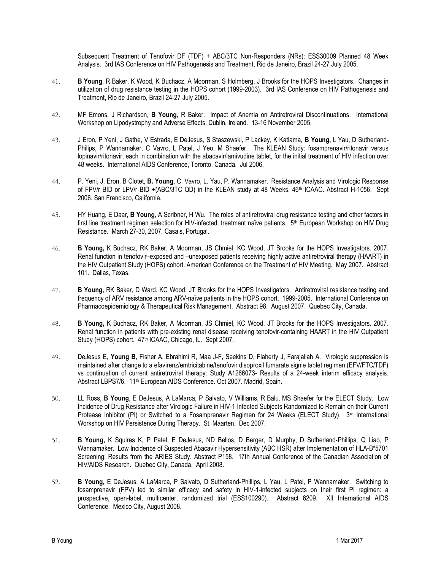Subsequent Treatment of Tenofovir DF (TDF) + ABC/3TC Non-Responders (NRs): ESS30009 Planned 48 Week Analysis. 3rd IAS Conference on HIV Pathogenesis and Treatment, Rio de Janeiro, Brazil 24-27 July 2005.

- 41. B Young, R Baker, K Wood, K Buchacz, A Moorman, S Holmberg, J Brooks for the HOPS Investigators. Changes in utilization of drug resistance testing in the HOPS cohort (1999-2003). 3rd IAS Conference on HIV Pathogenesis and Treatment, Rio de Janeiro, Brazil 24-27 July 2005.
- 42. MF Emons, J Richardson, B Young, R Baker. Impact of Anemia on Antiretroviral Discontinuations. International Workshop on Lipodystrophy and Adverse Effects; Dublin, Ireland. 13-16 November 2005.
- 43. J Eron, P Yeni, J Gathe, V Estrada, E DeJesus, S Staszewski, P Lackey, K Katlama, B Young, L Yau, D Sutherland-Philips, P Wannamaker, C Vavro, L Patel, J Yeo, M Shaefer. The KLEAN Study: fosamprenavir/ritonavir versus lopinavir/ritonavir, each in combination with the abacavir/lamivudine tablet, for the initial treatment of HIV infection over 48 weeks. International AIDS Conference, Toronto, Canada. Jul 2006.
- 44. P. Yeni, J. Eron, B Clotet, B. Young, C. Vavro, L. Yau, P. Wannamaker. Resistance Analysis and Virologic Response of FPV/r BID or LPV/r BID +(ABC/3TC QD) in the KLEAN study at 48 Weeks. 46<sup>th</sup> ICAAC. Abstract H-1056. Sept 2006. San Francisco, California.
- 45. HY Huang, E Daar, **B Young**, A Scribner, H Wu. The roles of antiretroviral drug resistance testing and other factors in first line treatment regimen selection for HIV-infected, treatment naïve patients. 5<sup>th</sup> European Workshop on HIV Drug Resistance. March 27-30, 2007, Casais, Portugal.
- 46. B Young, K Buchacz, RK Baker, A Moorman, JS Chmiel, KC Wood, JT Brooks for the HOPS Investigators. 2007. Renal function in tenofovir–exposed and –unexposed patients receiving highly active antiretroviral therapy (HAART) in the HIV Outpatient Study (HOPS) cohort. American Conference on the Treatment of HIV Meeting. May 2007. Abstract 101. Dallas, Texas.
- 47. B Young, RK Baker, D Ward. KC Wood, JT Brooks for the HOPS Investigators. Antiretroviral resistance testing and frequency of ARV resistance among ARV-naïve patients in the HOPS cohort. 1999-2005. International Conference on Pharmacoepidemiology & Therapeutical Risk Management. Abstract 98. August 2007. Quebec City, Canada.
- 48. B Young, K Buchacz, RK Baker, A Moorman, JS Chmiel, KC Wood, JT Brooks for the HOPS Investigators. 2007. Renal function in patients with pre-existing renal disease receiving tenofovir-containing HAART in the HIV Outpatient Study (HOPS) cohort. 47<sup>th</sup> ICAAC, Chicago, IL. Sept 2007.
- 49. DeJesus E, Young B, Fisher A, Ebrahimi R, Maa J-F, Seekins D, Flaherty J, Farajallah A. Virologic suppression is maintained after change to a efavirenz/emtricitabine/tenofovir disoproxil fumarate signle tablet regimen (EFV/FTC/TDF) vs continuation of current antiretroviral therapy: Study A1266073- Results of a 24-week interim efficacy analysis. Abstract LBPS7/6. 11<sup>th</sup> European AIDS Conference. Oct 2007. Madrid, Spain.
- 50. LL Ross, B Young, E DeJesus, A LaMarca, P Salvato, V Williams, R Balu, MS Shaefer for the ELECT Study. Low Incidence of Drug Resistance after Virologic Failure in HIV-1 Infected Subjects Randomized to Remain on their Current Protease Inhibitor (PI) or Switched to a Fosamprenavir Regimen for 24 Weeks (ELECT Study). 3<sup>rd</sup> International Workshop on HIV Persistence During Therapy. St. Maarten. Dec 2007.
- 51. B Young, K Squires K, P Patel, E DeJesus, ND Bellos, D Berger, D Murphy, D Sutherland-Phillips, Q Liao, P Wannamaker. Low Incidence of Suspected Abacavir Hypersensitivity (ABC HSR) after Implementation of HLA-B\*5701 Screening: Results from the ARIES Study. Abstract P158. 17th Annual Conference of the Canadian Association of HIV/AIDS Research. Quebec City, Canada. April 2008.
- 52. B Young, E DeJesus, A LaMarca, P Salvato, D Sutherland-Phillips, L Yau, L Patel, P Wannamaker. Switching to fosamprenavir (FPV) led to similar efficacy and safety in HIV-1-infected subjects on their first PI regimen: a prospective, open-label, multicenter, randomized trial (ESS100290). Abstract 6209. XII International AIDS Conference. Mexico City, August 2008.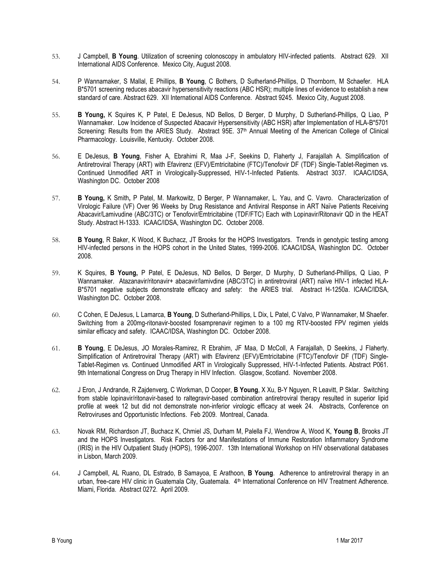- 53. J Campbell, B Young. Utilization of screening colonoscopy in ambulatory HIV-infected patients. Abstract 629. XII International AIDS Conference. Mexico City, August 2008.
- 54. P Wannamaker, S Mallal, E Phillips, B Young, C Bothers, D Sutherland-Phillips, D Thornborn, M Schaefer. HLA B\*5701 screening reduces abacavir hypersensitivity reactions (ABC HSR); multiple lines of evidence to establish a new standard of care. Abstract 629. XII International AIDS Conference. Abstract 9245. Mexico City, August 2008.
- 55. B Young, K Squires K, P Patel, E DeJesus, ND Bellos, D Berger, D Murphy, D Sutherland-Phillips, Q Liao, P Wannamaker. Low Incidence of Suspected Abacavir Hypersensitivity (ABC HSR) after Implementation of HLA-B\*5701 Screening: Results from the ARIES Study. Abstract 95E. 37<sup>th</sup> Annual Meeting of the American College of Clinical Pharmacology. Louisville, Kentucky. October 2008.
- 56. E DeJesus, B Young, Fisher A, Ebrahimi R, Maa J-F, Seekins D, Flaherty J, Farajallah A. Simplification of Antiretroviral Therapy (ART) with Efavirenz (EFV)/Emtricitabine (FTC)/Tenofovir DF (TDF) Single-Tablet-Regimen vs. Continued Unmodified ART in Virologically-Suppressed, HIV-1-Infected Patients. Abstract 3037. ICAAC/IDSA, Washington DC. October 2008
- 57. B Young, K Smith, P Patel, M. Markowitz, D Berger, P Wannamaker, L. Yau, and C. Vavro. Characterization of Virologic Failure (VF) Over 96 Weeks by Drug Resistance and Antiviral Response in ART Naïve Patients Receiving Abacavir/Lamivudine (ABC/3TC) or Tenofovir/Emtricitabine (TDF/FTC) Each with Lopinavir/Ritonavir QD in the HEAT Study. Abstract H-1333. ICAAC/IDSA, Washington DC. October 2008.
- 58. B Young, R Baker, K Wood, K Buchacz, JT Brooks for the HOPS Investigators. Trends in genotypic testing among HIV-infected persons in the HOPS cohort in the United States, 1999-2006. ICAAC/IDSA, Washington DC. October 2008.
- 59. K Squires, B Young, P Patel, E DeJesus, ND Bellos, D Berger, D Murphy, D Sutherland-Phillips, Q Liao, P Wannamaker. Atazanavir/ritonavir+ abacavir/lamivdine (ABC/3TC) in antiretroviral (ART) naïve HIV-1 infected HLA-B\*5701 negative subjects demonstrate efficacy and safety: the ARIES trial. Abstract H-1250a. ICAAC/IDSA, Washington DC. October 2008.
- 60. C Cohen, E DeJesus, L Lamarca, B Young, D Sutherland-Phillips, L Dix, L Patel, C Valvo, P Wannamaker, M Shaefer. Switching from a 200mg-ritonavir-boosted fosamprenavir regimen to a 100 mg RTV-boosted FPV regimen vields similar efficacy and safety. ICAAC/IDSA, Washington DC. October 2008.
- 61. B Young, E DeJesus, JO Morales-Ramirez, R Ebrahim, JF Maa, D McColl, A Farajallah, D Seekins, J Flaherty. Simplification of Antiretroviral Therapy (ART) with Efavirenz (EFV)/Emtricitabine (FTC)/Tenofovir DF (TDF) Single-Tablet-Regimen vs. Continued Unmodified ART in Virologically Suppressed, HIV-1-Infected Patients. Abstract P061. 9th International Congress on Drug Therapy in HIV Infection. Glasgow, Scotland. November 2008.
- 62. J Eron, J Andrande, R Zajdenverg, C Workman, D Cooper, B Young, X Xu, B-Y Nguyen, R Leavitt, P Sklar. Switching from stable lopinavir/ritonavir-based to raltegravir-based combination antiretroviral therapy resulted in superior lipid profile at week 12 but did not demonstrate non-inferior virologic efficacy at week 24. Abstracts, Conference on Retroviruses and Opportunistic Infections. Feb 2009. Montreal, Canada.
- 63. Novak RM, Richardson JT, Buchacz K, Chmiel JS, Durham M, Palella FJ, Wendrow A, Wood K, Young B, Brooks JT and the HOPS Investigators. Risk Factors for and Manifestations of Immune Restoration Inflammatory Syndrome (IRIS) in the HIV Outpatient Study (HOPS), 1996-2007. 13th International Workshop on HIV observational databases in Lisbon, March 2009.
- 64. J Campbell, AL Ruano, DL Estrado, B Samayoa, E Arathoon, B Young. Adherence to antiretroviral therapy in an urban, free-care HIV clinic in Guatemala City, Guatemala. 4<sup>th</sup> International Conference on HIV Treatment Adherence. Miami, Florida. Abstract 0272. April 2009.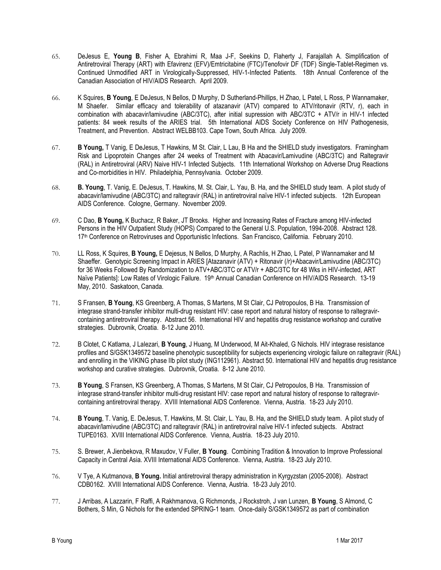- 65. DeJesus E, Young B, Fisher A, Ebrahimi R, Maa J-F, Seekins D, Flaherty J, Farajallah A. Simplification of Antiretroviral Therapy (ART) with Efavirenz (EFV)/Emtricitabine (FTC)/Tenofovir DF (TDF) Single-Tablet-Regimen vs. Continued Unmodified ART in Virologically-Suppressed, HIV-1-Infected Patients. 18th Annual Conference of the Canadian Association of HIV/AIDS Research. April 2009.
- 66. K Squires, B Young, E DeJesus, N Bellos, D Murphy, D Sutherland-Phillips, H Zhao, L Patel, L Ross, P Wannamaker, M Shaefer. Similar efficacy and tolerability of atazanavir (ATV) compared to ATV/ritonavir (RTV, r), each in combination with abacavir/lamivudine (ABC/3TC), after initial supression with ABC/3TC + ATV/r in HIV-1 infected patients: 84 week results of the ARIES trial. 5th International AIDS Society Conference on HIV Pathogenesis, Treatment, and Prevention. Abstract WELBB103. Cape Town, South Africa. July 2009.
- 67. B Young, T Vanig, E DeJesus, T Hawkins, M St. Clair, L Lau, B Ha and the SHIELD study investigators. Framingham Risk and Lipoprotein Changes after 24 weeks of Treatment with Abacavir/Lamivudine (ABC/3TC) and Raltegravir (RAL) in Antiretroviral (ARV) Naive HIV-1 Infected Subjects. 11th International Workshop on Adverse Drug Reactions and Co-morbidities in HIV. Philadelphia, Pennsylvania. October 2009.
- 68. B. Young, T. Vanig, E. DeJesus, T. Hawkins, M. St. Clair, L. Yau, B. Ha, and the SHIELD study team. A pilot study of abacavir/lamivudine (ABC/3TC) and raltegravir (RAL) in antiretroviral naïve HIV-1 infected subjects. 12th European AIDS Conference. Cologne, Germany. November 2009.
- 69. C Dao, B Young, K Buchacz, R Baker, JT Brooks. Higher and Increasing Rates of Fracture among HIV-infected Persons in the HIV Outpatient Study (HOPS) Compared to the General U.S. Population, 1994-2008. Abstract 128. 17th Conference on Retroviruses and Opportunistic Infections. San Francisco, California. February 2010.
- 70. LL Ross, K Squires, B Young, E Dejesus, N Bellos, D Murphy, A Rachlis, H Zhao, L Patel, P Wannamaker and M Shaeffer. Genotypic Screening Impact in ARIES [Atazanavir (ATV) + Ritonavir (/r)+Abacavir/Lamivudine (ABC/3TC) for 36 Weeks Followed By Randomization to ATV+ABC/3TC or ATV/r + ABC/3TC for 48 Wks in HIV-infected, ART Naïve Patients]: Low Rates of Virologic Failure. 19<sup>th</sup> Annual Canadian Conference on HIV/AIDS Research. 13-19 May, 2010. Saskatoon, Canada.
- 71. S Fransen, B Young, KS Greenberg, A Thomas, S Martens, M St Clair, CJ Petropoulos, B Ha. Transmission of integrase strand-transfer inhibitor multi-drug resistant HIV: case report and natural history of response to raltegravircontaining antiretroviral therapy. Abstract 56. International HIV and hepatitis drug resistance workshop and curative strategies. Dubrovnik, Croatia. 8-12 June 2010.
- 72. B Clotet, C Katlama, J Lalezari, B Young, J Huang, M Underwood, M Ait-Khaled, G Nichols. HIV integrase resistance profiles and S/GSK1349572 baseline phenotypic susceptibility for subjects experiencing virologic failure on raltegravir (RAL) and enrolling in the VIKING phase IIb pilot study (ING112961). Abstract 50. International HIV and hepatitis drug resistance workshop and curative strategies. Dubrovnik, Croatia. 8-12 June 2010.
- 73. B Young, S Fransen, KS Greenberg, A Thomas, S Martens, M St Clair, CJ Petropoulos, B Ha. Transmission of integrase strand-transfer inhibitor multi-drug resistant HIV: case report and natural history of response to raltegravircontaining antiretroviral therapy. XVIII International AIDS Conference. Vienna, Austria. 18-23 July 2010.
- 74. B Young, T. Vanig, E. DeJesus, T. Hawkins, M. St. Clair, L. Yau, B. Ha, and the SHIELD study team. A pilot study of abacavir/lamivudine (ABC/3TC) and raltegravir (RAL) in antiretroviral naïve HIV-1 infected subjects. Abstract TUPE0163. XVIII International AIDS Conference. Vienna, Austria. 18-23 July 2010.
- 75. S. Brewer, A Jienbekova, R Maxudov, V Fuller, B Young. Combining Tradition & Innovation to Improve Professional Capacity in Central Asia. XVIII International AIDS Conference. Vienna, Austria. 18-23 July 2010.
- 76. V Tye, A Kutmanova, B Young. Initial antiretroviral therapy administration in Kyrgyzstan (2005-2008). Abstract CDB0162. XVIII International AIDS Conference. Vienna, Austria. 18-23 July 2010.
- 77. J Arribas, A Lazzarin, F Raffi, A Rakhmanova, G Richmonds, J Rockstroh, J van Lunzen, B Young, S Almond, C Bothers, S Min, G Nichols for the extended SPRING-1 team. Once-daily S/GSK1349572 as part of combination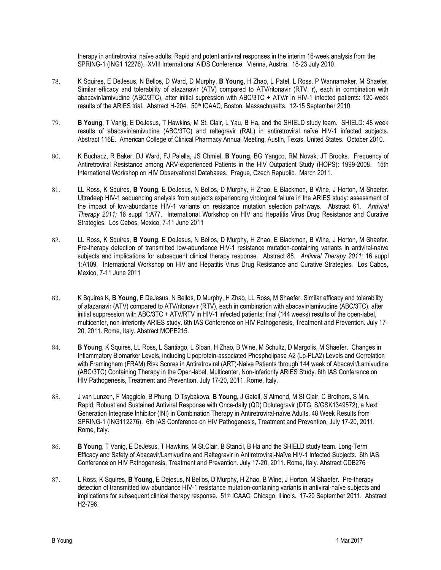therapy in antiretroviral naïve adults: Rapid and potent antiviral responses in the interim 16-week analysis from the SPRING-1 (ING1 12276). XVIII International AIDS Conference. Vienna, Austria. 18-23 July 2010.

- 78. K Squires, E DeJesus, N Bellos, D Ward, D Murphy, B Young, H Zhao, L Patel, L Ross, P Wannamaker, M Shaefer. Similar efficacy and tolerability of atazanavir (ATV) compared to ATV/ritonavir (RTV, r), each in combination with abacavir/lamivudine (ABC/3TC), after initial supression with ABC/3TC + ATV/r in HIV-1 infected patients: 120-week results of the ARIES trial. Abstract H-204. 50<sup>th</sup> ICAAC, Boston, Massachusetts. 12-15 September 2010.
- 79. B Young, T Vanig, E DeJesus, T Hawkins, M St. Clair, L Yau, B Ha, and the SHIELD study team. SHIELD: 48 week results of abacavir/lamivudine (ABC/3TC) and raltegravir (RAL) in antiretroviral naïve HIV-1 infected subjects. Abstract 116E. American College of Clinical Pharmacy Annual Meeting, Austin, Texas, United States. October 2010.
- 80. K Buchacz, R Baker, DJ Ward, FJ Palella, JS Chmiel, B Young, BG Yangco, RM Novak, JT Brooks. Frequency of Antiretroviral Resistance among ARV-experienced Patients in the HIV Outpatient Study (HOPS): 1999-2008. 15th International Workshop on HIV Observational Databases. Prague, Czech Republic. March 2011.
- 81. LL Ross, K Squires, B Young, E DeJesus, N Bellos, D Murphy, H Zhao, E Blackmon, B Wine, J Horton, M Shaefer. Ultradeep HIV-1 sequencing analysis from subjects experiencing virological failure in the ARIES study: assessment of the impact of low-abundance HIV-1 variants on resistance mutation selection pathways. Abstract 61. Antiviral Therapy 2011; 16 suppl 1:A77. International Workshop on HIV and Hepatitis Virus Drug Resistance and Curative Strategies. Los Cabos, Mexico, 7-11 June 2011
- 82. LL Ross, K Squires, B Young, E DeJesus, N Bellos, D Murphy, H Zhao, E Blackmon, B Wine, J Horton, M Shaefer. Pre-therapy detection of transmitted low-abundance HIV-1 resistance mutation-containing variants in antiviral-naïve subjects and implications for subsequent clinical therapy response. Abstract 88. Antiviral Therapy 2011; 16 suppl 1:A109. International Workshop on HIV and Hepatitis Virus Drug Resistance and Curative Strategies. Los Cabos, Mexico, 7-11 June 2011
- 83. K Squires K, B Young, E DeJesus, N Bellos, D Murphy, H Zhao, LL Ross, M Shaefer. Similar efficacy and tolerability of atazanavir (ATV) compared to ATV/ritonavir (RTV), each in combination with abacavir/lamivudine (ABC/3TC), after initial suppression with ABC/3TC + ATV/RTV in HIV-1 infected patients: final (144 weeks) results of the open-label, multicenter, non-inferiority ARIES study. 6th IAS Conference on HIV Pathogenesis, Treatment and Prevention. July 17- 20, 2011. Rome, Italy. Abstract MOPE215.
- 84. B Young, K Squires, LL Ross, L Santiago, L Sloan, H Zhao, B Wine, M Schultz, D Margolis, M Shaefer. Changes in Inflammatory Biomarker Levels, including Lipoprotein-associated Phospholipase A2 (Lp-PLA2) Levels and Correlation with Framingham (FRAM) Risk Scores in Antiretroviral (ART)-Naive Patients through 144 week of Abacavir/Lamivudine (ABC/3TC) Containing Therapy in the Open-label, Multicenter, Non-inferiority ARIES Study. 6th IAS Conference on HIV Pathogenesis, Treatment and Prevention. July 17-20, 2011. Rome, Italy.
- 85. J van Lunzen, F Maggiolo, B Phung, O Tsybakova, B Young, J Gatell, S Almond, M St Clair, C Brothers, S Min. Rapid, Robust and Sustained Antiviral Response with Once-daily (QD) Dolutegravir (DTG, S/GSK1349572), a Next Generation Integrase Inhibitor (INI) in Combination Therapy in Antiretroviral-naïve Adults. 48 Week Results from SPRING-1 (ING112276). 6th IAS Conference on HIV Pathogenesis, Treatment and Prevention. July 17-20, 2011. Rome, Italy.
- 86. B Young, T Vanig, E DeJesus, T Hawkins, M St.Clair, B Stancil, B Ha and the SHIELD study team. Long-Term Efficacy and Safety of Abacavir/Lamivudine and Raltegravir in Antiretroviral-Naïve HIV-1 Infected Subjects. 6th IAS Conference on HIV Pathogenesis, Treatment and Prevention. July 17-20, 2011. Rome, Italy. Abstract CDB276
- 87. L Ross, K Squires, B Young, E Dejesus, N Bellos, D Murphy, H Zhao, B Wine, J Horton, M Shaefer. Pre-therapy detection of transmitted low-abundance HIV-1 resistance mutation-containing variants in antiviral-naïve subjects and implications for subsequent clinical therapy response. 51<sup>th</sup> ICAAC, Chicago, Illinois. 17-20 September 2011. Abstract H2-796.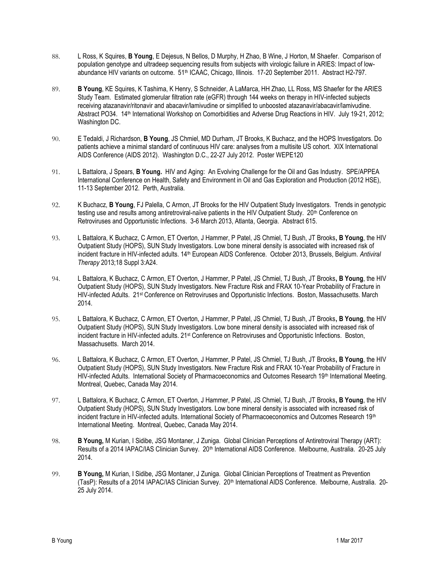- 88. L Ross, K Squires, B Young, E Dejesus, N Bellos, D Murphy, H Zhao, B Wine, J Horton, M Shaefer. Comparison of population genotype and ultradeep sequencing results from subjects with virologic failure in ARIES: Impact of lowabundance HIV variants on outcome. 51<sup>th</sup> ICAAC, Chicago, Illinois. 17-20 September 2011. Abstract H2-797.
- 89. B Young, KE Squires, K Tashima, K Henry, S Schneider, A LaMarca, HH Zhao, LL Ross, MS Shaefer for the ARIES Study Team. Estimated glomerular filtration rate (eGFR) through 144 weeks on therapy in HIV-infected subjects receiving atazanavir/ritonavir and abacavir/lamivudine or simplified to unboosted atazanavir/abacavir/lamivudine. Abstract PO34. 14th International Workshop on Comorbidities and Adverse Drug Reactions in HIV. July 19-21, 2012; Washington DC.
- 90. E Tedaldi, J Richardson, B Young, JS Chmiel, MD Durham, JT Brooks, K Buchacz, and the HOPS Investigators. Do patients achieve a minimal standard of continuous HIV care: analyses from a multisite US cohort. XIX International AIDS Conference (AIDS 2012). Washington D.C., 22-27 July 2012. Poster WEPE120
- 91. L Battalora, J Spears, **B Young.** HIV and Aging: An Evolving Challenge for the Oil and Gas Industry. SPE/APPEA International Conference on Health, Safety and Environment in Oil and Gas Exploration and Production (2012 HSE), 11-13 September 2012. Perth, Australia.
- 92. K Buchacz, B Young, FJ Palella, C Armon, JT Brooks for the HIV Outpatient Study Investigators. Trends in genotypic testing use and results among antiretroviral-naïve patients in the HIV Outpatient Study. 20<sup>th</sup> Conference on Retroviruses and Opportunistic Infections. 3-6 March 2013, Atlanta, Georgia. Abstract 615.
- 93. L Battalora, K Buchacz, C Armon, ET Overton, J Hammer, P Patel, JS Chmiel, TJ Bush, JT Brooks, B Young, the HIV Outpatient Study (HOPS), SUN Study Investigators. Low bone mineral density is associated with increased risk of incident fracture in HIV-infected adults. 14<sup>th</sup> European AIDS Conference. October 2013, Brussels, Belgium. Antiviral Therapy 2013;18 Suppl 3:A24.
- 94. L Battalora, K Buchacz, C Armon, ET Overton, J Hammer, P Patel, JS Chmiel, TJ Bush, JT Brooks, B Young, the HIV Outpatient Study (HOPS), SUN Study Investigators. New Fracture Risk and FRAX 10-Year Probability of Fracture in HIV-infected Adults. 21st Conference on Retroviruses and Opportunistic Infections. Boston, Massachusetts. March 2014.
- 95. L Battalora, K Buchacz, C Armon, ET Overton, J Hammer, P Patel, JS Chmiel, TJ Bush, JT Brooks, B Young, the HIV Outpatient Study (HOPS), SUN Study Investigators. Low bone mineral density is associated with increased risk of incident fracture in HIV-infected adults. 21<sup>st</sup> Conference on Retroviruses and Opportunistic Infections. Boston, Massachusetts. March 2014.
- 96. L Battalora, K Buchacz, C Armon, ET Overton, J Hammer, P Patel, JS Chmiel, TJ Bush, JT Brooks, B Young, the HIV Outpatient Study (HOPS), SUN Study Investigators. New Fracture Risk and FRAX 10-Year Probability of Fracture in HIV-infected Adults. International Society of Pharmacoeconomics and Outcomes Research 19<sup>th</sup> International Meeting. Montreal, Quebec, Canada May 2014.
- 97. L Battalora, K Buchacz, C Armon, ET Overton, J Hammer, P Patel, JS Chmiel, TJ Bush, JT Brooks, B Young, the HIV Outpatient Study (HOPS), SUN Study Investigators. Low bone mineral density is associated with increased risk of incident fracture in HIV-infected adults. International Society of Pharmacoeconomics and Outcomes Research 19<sup>th</sup> International Meeting. Montreal, Quebec, Canada May 2014.
- 98. B Young, M Kurian, I Sidibe, JSG Montaner, J Zuniga. Global Clinician Perceptions of Antiretroviral Therapy (ART): Results of a 2014 IAPAC/IAS Clinician Survey. 20<sup>th</sup> International AIDS Conference. Melbourne, Australia. 20-25 July 2014.
- 99. B Young, M Kurian, I Sidibe, JSG Montaner, J Zuniga. Global Clinician Perceptions of Treatment as Prevention (TasP): Results of a 2014 IAPAC/IAS Clinician Survey. 20th International AIDS Conference. Melbourne, Australia. 20- 25 July 2014.